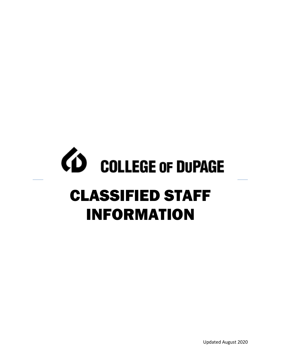# *CD* COLLEGE OF DUPAGE CLASSIFIED STAFF INFORMATION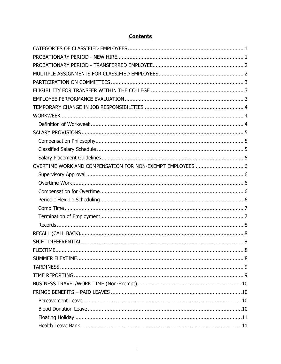# **Contents**

| OVERTIME WORK AND COMPENSATION FOR NON-EXEMPT EMPLOYEES  6 |  |
|------------------------------------------------------------|--|
|                                                            |  |
|                                                            |  |
|                                                            |  |
|                                                            |  |
|                                                            |  |
|                                                            |  |
|                                                            |  |
|                                                            |  |
|                                                            |  |
| FLEXTIME.                                                  |  |
|                                                            |  |
|                                                            |  |
|                                                            |  |
|                                                            |  |
|                                                            |  |
|                                                            |  |
|                                                            |  |
|                                                            |  |
|                                                            |  |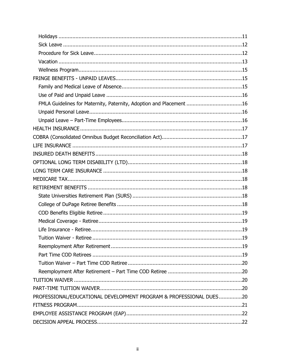| FMLA Guidelines for Maternity, Paternity, Adoption and Placement 16 |     |
|---------------------------------------------------------------------|-----|
|                                                                     |     |
|                                                                     |     |
|                                                                     |     |
|                                                                     |     |
|                                                                     |     |
|                                                                     |     |
|                                                                     |     |
|                                                                     |     |
|                                                                     |     |
|                                                                     |     |
|                                                                     |     |
|                                                                     |     |
|                                                                     |     |
|                                                                     |     |
|                                                                     |     |
| Tuition Waiver - Retiree                                            | .19 |
|                                                                     |     |
|                                                                     |     |
|                                                                     |     |
|                                                                     |     |
|                                                                     |     |
|                                                                     |     |
| PROFESSIONAL/EDUCATIONAL DEVELOPMENT PROGRAM & PROFESSIONAL DUES20  |     |
|                                                                     |     |
|                                                                     |     |
|                                                                     |     |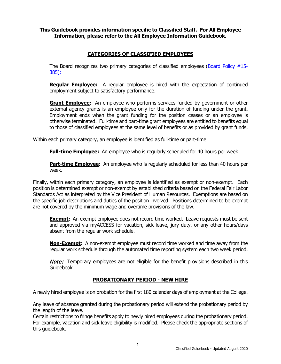## **This Guidebook provides information specific to Classified Staff. For All Employee Information, please refer to the All Employee Information Guidebook.**

# **CATEGORIES OF CLASSIFIED EMPLOYEES**

<span id="page-4-0"></span>The Board recognizes two primary categories of classified employees (Board Policy  $#15$ -[385\)](http://www.cod.edu/about/board_of_trustees/pdf/board_policies.pdf):

**Regular Employee:** A regular employee is hired with the expectation of continued employment subject to satisfactory performance.

**Grant Employee:** An employee who performs services funded by government or other external agency grants is an employee only for the duration of funding under the grant. Employment ends when the grant funding for the position ceases or an employee is otherwise terminated. Full-time and part-time grant employees are entitled to benefits equal to those of classified employees at the same level of benefits or as provided by grant funds.

Within each primary category, an employee is identified as full-time or part-time:

**Full-time Employee:** An employee who is regularly scheduled for 40 hours per week.

**Part-time Employee:** An employee who is regularly scheduled for less than 40 hours per week.

Finally, within each primary category, an employee is identified as exempt or non-exempt. Each position is determined exempt or non-exempt by established criteria based on the Federal Fair Labor Standards Act as interpreted by the Vice President of Human Resources. Exemptions are based on the specific job descriptions and duties of the position involved. Positions determined to be exempt are not covered by the minimum wage and overtime provisions of the law.

**Exempt:** An exempt employee does not record time worked. Leave requests must be sent and approved via myACCESS for vacation, sick leave, jury duty, or any other hours/days absent from the regular work schedule.

**Non-Exempt:** A non-exempt employee must record time worked and time away from the regular work schedule through the automated time reporting system each two week period.

**Note:** Temporary employees are not eligible for the benefit provisions described in this Guidebook.

## **PROBATIONARY PERIOD - NEW HIRE**

<span id="page-4-1"></span>A newly hired employee is on probation for the first 180 calendar days of employment at the College.

Any leave of absence granted during the probationary period will extend the probationary period by the length of the leave.

Certain restrictions to fringe benefits apply to newly hired employees during the probationary period. For example, vacation and sick leave eligibility is modified. Please check the appropriate sections of this guidebook.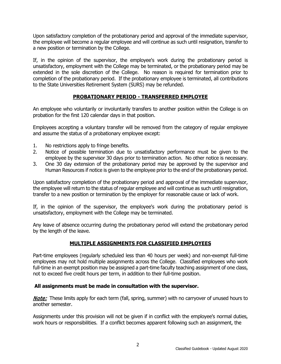Upon satisfactory completion of the probationary period and approval of the immediate supervisor, the employee will become a regular employee and will continue as such until resignation, transfer to a new position or termination by the College.

If, in the opinion of the supervisor, the employee's work during the probationary period is unsatisfactory, employment with the College may be terminated, or the probationary period may be extended in the sole discretion of the College. No reason is required for termination prior to completion of the probationary period. If the probationary employee is terminated, all contributions to the State Universities Retirement System (SURS) may be refunded.

# **PROBATIONARY PERIOD - TRANSFERRED EMPLOYEE**

<span id="page-5-0"></span>An employee who voluntarily or involuntarily transfers to another position within the College is on probation for the first 120 calendar days in that position.

Employees accepting a voluntary transfer will be removed from the category of regular employee and assume the status of a probationary employee except:

- 1. No restrictions apply to fringe benefits.
- 2. Notice of possible termination due to unsatisfactory performance must be given to the employee by the supervisor 30 days prior to termination action. No other notice is necessary.
- 3. One 30 day extension of the probationary period may be approved by the supervisor and Human Resources if notice is given to the employee prior to the end of the probationary period.

Upon satisfactory completion of the probationary period and approval of the immediate supervisor, the employee will return to the status of regular employee and will continue as such until resignation, transfer to a new position or termination by the employer for reasonable cause or lack of work.

If, in the opinion of the supervisor, the employee's work during the probationary period is unsatisfactory, employment with the College may be terminated.

Any leave of absence occurring during the probationary period will extend the probationary period by the length of the leave.

## **MULTIPLE ASSIGNMENTS FOR CLASSIFIED EMPLOYEES**

<span id="page-5-1"></span>Part-time employees (regularly scheduled less than 40 hours per week) and non-exempt full-time employees may not hold multiple assignments across the College. Classified employees who work full-time in an exempt position may be assigned a part-time faculty teaching assignment of one class, not to exceed five credit hours per term, in addition to their full-time position.

## **All assignments must be made in consultation with the supervisor.**

**Note:** These limits apply for each term (fall, spring, summer) with no carryover of unused hours to another semester.

Assignments under this provision will not be given if in conflict with the employee's normal duties, work hours or responsibilities. If a conflict becomes apparent following such an assignment, the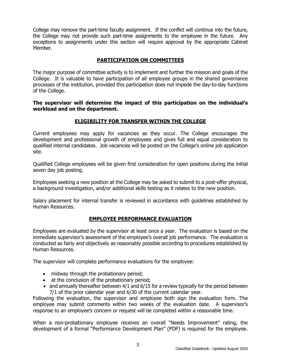College may remove the part-time faculty assignment. If the conflict will continue into the future, the College may not provide such part-time assignments to the employee in the future. Any exceptions to assignments under this section will require approval by the appropriate Cabinet Member.

# **PARTICIPATION ON COMMITTEES**

<span id="page-6-0"></span>The major purpose of committee activity is to implement and further the mission and goals of the College. It is valuable to have participation of all employee groups in the shared governance processes of the institution, provided this participation does not impede the day-to-day functions of the College.

**The supervisor will determine the impact of this participation on the individual's workload and on the department.** 

# **ELIGIBILITY FOR TRANSFER WITHIN THE COLLEGE**

<span id="page-6-1"></span>Current employees may apply for vacancies as they occur. The College encourages the development and professional growth of employees and gives full and equal consideration to qualified internal candidates. Job vacancies will be posted on the College's online job application site.

Qualified College employees will be given first consideration for open positions during the initial seven day job posting.

Employees seeking a new position at the College may be asked to submit to a post-offer physical, a background investigation, and/or additional skills testing as it relates to the new position.

Salary placement for internal transfer is reviewed in accordance with guidelines established by Human Resources.

## **EMPLOYEE PERFORMANCE EVALUATION**

<span id="page-6-2"></span>Employees are evaluated by the supervisor at least once a year. The evaluation is based on the immediate supervisor's assessment of the employee's overall job performance. The evaluation is conducted as fairly and objectively as reasonably possible according to procedures established by Human Resources.

The supervisor will complete performance evaluations for the employee:

- midway through the probationary period;
- at the conclusion of the probationary period;
- and annually thereafter between 4/1 and 6/15 for a review typically for the period between 7/1 of the prior calendar year and 6/30 of the current calendar year.

Following the evaluation, the supervisor and employee both sign the evaluation form. The employee may submit comments within two weeks of the evaluation date. A supervisor's response to an employee's concern or request will be completed within a reasonable time.

When a non-probationary employee receives an overall "Needs Improvement" rating, the development of a formal "Performance Development Plan" (PDP) is required for the employee.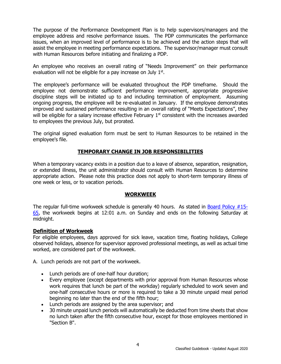The purpose of the Performance Development Plan is to help supervisors/managers and the employee address and resolve performance issues. The PDP communicates the performance issues, when an improved level of performance is to be achieved and the action steps that will assist the employee in meeting performance expectations. The supervisor/manager must consult with Human Resources before initiating and finalizing a PDP.

An employee who receives an overall rating of "Needs Improvement" on their performance evaluation will not be eligible for a pay increase on July  $1<sup>st</sup>$ .

The employee's performance will be evaluated throughout the PDP timeframe. Should the employee not demonstrate sufficient performance improvement, appropriate progressive discipline steps will be initiated up to and including termination of employment. Assuming ongoing progress, the employee will be re-evaluated in January. If the employee demonstrates improved and sustained performance resulting in an overall rating of "Meets Expectations", they will be eligible for a salary increase effective February 1<sup>st</sup> consistent with the increases awarded to employees the previous July, but prorated.

The original signed evaluation form must be sent to Human Resources to be retained in the employee's file.

## **TEMPORARY CHANGE IN JOB RESPONSIBILITIES**

<span id="page-7-0"></span>When a temporary vacancy exists in a position due to a leave of absence, separation, resignation, or extended illness, the unit administrator should consult with Human Resources to determine appropriate action. Please note this practice does not apply to short-term temporary illness of one week or less, or to vacation periods.

## **WORKWEEK**

<span id="page-7-1"></span>The regular full-time workweek schedule is generally 40 hours. As stated in **Board Policy #15-**[65,](http://www.cod.edu/about/board_of_trustees/pdf/board_policies.pdf) the workweek begins at 12:01 a.m. on Sunday and ends on the following Saturday at midnight.

## <span id="page-7-2"></span>**Definition of Workweek**

For eligible employees, days approved for sick leave, vacation time, floating holidays, College observed holidays, absence for supervisor approved professional meetings, as well as actual time worked, are considered part of the workweek.

A. Lunch periods are not part of the workweek.

- Lunch periods are of one-half hour duration;
- Every employee (except departments with prior approval from Human Resources whose work requires that lunch be part of the workday) regularly scheduled to work seven and one-half consecutive hours or more is required to take a 30 minute unpaid meal period beginning no later than the end of the fifth hour;
- Lunch periods are assigned by the area supervisor; and
- 30 minute unpaid lunch periods will automatically be deducted from time sheets that show no lunch taken after the fifth consecutive hour, except for those employees mentioned in "Section B".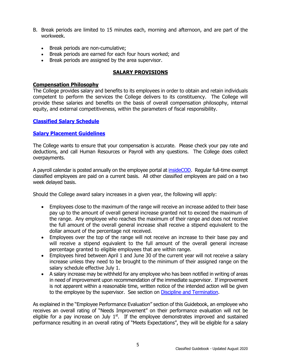- B. Break periods are limited to 15 minutes each, morning and afternoon, and are part of the workweek.
	- Break periods are non-cumulative;
	- Break periods are earned for each four hours worked; and
	- Break periods are assigned by the area supervisor.

## **SALARY PROVISIONS**

## <span id="page-8-1"></span><span id="page-8-0"></span>**Compensation Philosophy**

The College provides salary and benefits to its employees in order to obtain and retain individuals competent to perform the services the College delivers to its constituency. The College will provide these salaries and benefits on the basis of overall compensation philosophy, internal equity, and external competitiveness, within the parameters of fiscal responsibility.

## <span id="page-8-2"></span>**[Classified Salary Schedule](http://www.cod.edu/about/humanresources/pdf/classified-salary-schedule.pdf)**

## <span id="page-8-3"></span>**[Salary Placement Guidelines](http://www.cod.edu/about/humanresources/pdf/salary_placement.pdf)**

The College wants to ensure that your compensation is accurate. Please check your pay rate and deductions, and call Human Resources or Payroll with any questions. The College does collect overpayments.

A payroll calendar is posted annually on the employee portal at [insideCOD.](https://inside.cod.edu/employees/Pages/default.aspx) Regular full-time exempt classified employees are paid on a current basis. All other classified employees are paid on a two week delayed basis.

Should the College award salary increases in a given year, the following will apply:

- Employees close to the maximum of the range will receive an increase added to their base pay up to the amount of overall general increase granted not to exceed the maximum of the range. Any employee who reaches the maximum of their range and does not receive the full amount of the overall general increase shall receive a stipend equivalent to the dollar amount of the percentage not received.
- Employees over the top of the range will not receive an increase to their base pay and will receive a stipend equivalent to the full amount of the overall general increase percentage granted to eligible employees that are within range.
- Employees hired between April 1 and June 30 of the current year will not receive a salary increase unless they need to be brought to the minimum of their assigned range on the salary schedule effective July 1.
- A salary increase may be withheld for any employee who has been notified in writing of areas in need of improvement upon recommendation of the immediate supervisor. If improvement is not apparent within a reasonable time, written notice of the intended action will be given to the employee by the supervisor. See section on [Discipline and Termination.](#page-27-1)

As explained in the "Employee Performance Evaluation" section of this Guidebook, an employee who receives an overall rating of "Needs Improvement" on their performance evaluation will not be eligible for a pay increase on July  $1<sup>st</sup>$ . If the employee demonstrates improved and sustained performance resulting in an overall rating of "Meets Expectations", they will be eligible for a salary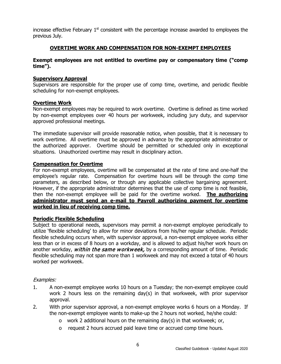increase effective February  $1<sup>st</sup>$  consistent with the percentage increase awarded to employees the previous July.

## **OVERTIME WORK AND COMPENSATION FOR NON-EXEMPT EMPLOYEES**

## <span id="page-9-0"></span>**Exempt employees are not entitled to overtime pay or compensatory time ("comp time").**

### <span id="page-9-1"></span>**Supervisory Approval**

Supervisors are responsible for the proper use of comp time, overtime, and periodic flexible scheduling for non-exempt employees.

#### <span id="page-9-2"></span>**Overtime Work**

Non-exempt employees may be required to work overtime. Overtime is defined as time worked by non-exempt employees over 40 hours per workweek, including jury duty, and supervisor approved professional meetings.

The immediate supervisor will provide reasonable notice, when possible, that it is necessary to work overtime. All overtime must be approved in advance by the appropriate administrator or the authorized approver. Overtime should be permitted or scheduled only in exceptional situations. Unauthorized overtime may result in disciplinary action.

#### <span id="page-9-3"></span>**Compensation for Overtime**

For non-exempt employees, overtime will be compensated at the rate of time and one-half the employee's regular rate. Compensation for overtime hours will be through the comp time parameters, as described below, or through any applicable collective bargaining agreement. However, if the appropriate administrator determines that the use of comp time is not feasible, then the non-exempt employee will be paid for the overtime worked. **The authorizing administrator must send an e-mail to Payroll authorizing payment for overtime worked in lieu of receiving comp time.**

## <span id="page-9-4"></span>**Periodic Flexible Scheduling**

Subject to operational needs, supervisors may permit a non-exempt employee periodically to utilize 'flexible scheduling' to allow for minor deviations from his/her regular schedule. Periodic flexible scheduling occurs when, with supervisor approval, a non-exempt employee works either less than or in excess of 8 hours on a workday, and is allowed to adjust his/her work hours on another workday, within the same workweek, by a corresponding amount of time. Periodic flexible scheduling may not span more than 1 workweek and may not exceed a total of 40 hours worked per workweek.

#### Examples:

- 1. A non-exempt employee works 10 hours on a Tuesday; the non-exempt employee could work 2 hours less on the remaining day(s) in that workweek, with prior supervisor approval.
- 2. With prior supervisor approval, a non-exempt employee works 6 hours on a Monday. If the non-exempt employee wants to make-up the 2 hours not worked, he/she could:
	- o work 2 additional hours on the remaining day(s) in that workweek; or,
	- o request 2 hours accrued paid leave time or accrued comp time hours.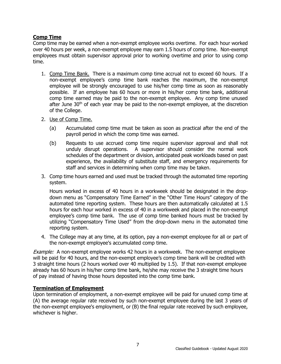# <span id="page-10-0"></span>**Comp Time**

Comp time may be earned when a non-exempt employee works overtime. For each hour worked over 40 hours per week, a non-exempt employee may earn 1.5 hours of comp time. Non-exempt employees must obtain supervisor approval prior to working overtime and prior to using comp time.

- 1. Comp Time Bank. There is a maximum comp time accrual not to exceed 60 hours. If a non-exempt employee's comp time bank reaches the maximum, the non-exempt employee will be strongly encouraged to use his/her comp time as soon as reasonably possible. If an employee has 60 hours or more in his/her comp time bank, additional comp time earned may be paid to the non-exempt employee. Any comp time unused after June  $30<sup>th</sup>$  of each year may be paid to the non-exempt employee, at the discretion of the College.
- 2. Use of Comp Time.
	- (a) Accumulated comp time must be taken as soon as practical after the end of the payroll period in which the comp time was earned.
	- (b) Requests to use accrued comp time require supervisor approval and shall not unduly disrupt operations. A supervisor should consider the normal work schedules of the department or division, anticipated peak workloads based on past experience, the availability of substitute staff, and emergency requirements for staff and services in determining when comp time may be taken.
- 3. Comp time hours earned and used must be tracked through the automated time reporting system.

Hours worked in excess of 40 hours in a workweek should be designated in the dropdown menu as "Compensatory Time Earned" in the "Other Time Hours" category of the automated time reporting system. These hours are then automatically calculated at 1.5 hours for each hour worked in excess of 40 in a workweek and placed in the non-exempt employee's comp time bank. The use of comp time banked hours must be tracked by utilizing "Compensatory Time Used" from the drop-down menu in the automated time reporting system.

4. The College may at any time, at its option, pay a non-exempt employee for all or part of the non-exempt employee's accumulated comp time.

**Example:** A non-exempt employee works 42 hours in a workweek. The non-exempt employee will be paid for 40 hours, and the non-exempt employee's comp time bank will be credited with 3 straight time hours (2 hours worked over 40 multiplied by 1.5). If that non-exempt employee already has 60 hours in his/her comp time bank, he/she may receive the 3 straight time hours of pay instead of having those hours deposited into the comp time bank.

## <span id="page-10-1"></span>**Termination of Employment**

Upon termination of employment, a non-exempt employee will be paid for unused comp time at (A) the average regular rate received by such non-exempt employee during the last 3 years of the non-exempt employee's employment, or (B) the final regular rate received by such employee, whichever is higher.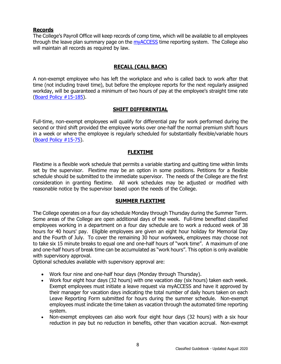## <span id="page-11-0"></span>**Records**

The College's Payroll Office will keep records of comp time, which will be available to all employees through the leave plan summary page on the [myACCESS](http://myaccess.cod.edu/) time reporting system. The College also will maintain all records as required by law.

# **RECALL (CALL BACK)**

<span id="page-11-1"></span>A non-exempt employee who has left the workplace and who is called back to work after that time (not including travel time), but before the employee reports for the next regularly assigned workday, will be guaranteed a minimum of two hours of pay at the employee's straight time rate [\(Board Policy #15-185\)](http://www.cod.edu/about/board_of_trustees/pdf/board_policies.pdf).

## **SHIFT DIFFERENTIAL**

<span id="page-11-2"></span>Full-time, non-exempt employees will qualify for differential pay for work performed during the second or third shift provided the employee works over one-half the normal premium shift hours in a week or where the employee is regularly scheduled for substantially flexible/variable hours [\(Board Policy #15-75\)](http://www.cod.edu/about/board_of_trustees/pdf/board_policies.pdf).

## **FLEXTIME**

<span id="page-11-3"></span>Flextime is a flexible work schedule that permits a variable starting and quitting time within limits set by the supervisor. Flextime may be an option in some positions. Petitions for a flexible schedule should be submitted to the immediate supervisor. The needs of the College are the first consideration in granting flextime. All work schedules may be adjusted or modified with reasonable notice by the supervisor based upon the needs of the College.

## **SUMMER FLEXTIME**

<span id="page-11-4"></span>The College operates on a four day schedule Monday through Thursday during the Summer Term. Some areas of the College are open additional days of the week. Full-time benefited classified employees working in a department on a four day schedule are to work a reduced week of 38 hours for 40 hours' pay. Eligible employees are given an eight hour holiday for Memorial Day and the Fourth of July. To cover the remaining 30 hour workweek, employees may choose not to take six 15 minute breaks to equal one and one-half hours of "work time". A maximum of one and one-half hours of break time can be accumulated as "work hours". This option is only available with supervisory approval.

Optional schedules available with supervisory approval are:

- Work four nine and one-half hour days (Monday through Thursday).
- Work four eight hour days (32 hours) with one vacation day (six hours) taken each week. Exempt employees must initiate a leave request via myACCESS and have it approved by their manager for vacation days indicating the total number of daily hours taken on each Leave Reporting Form submitted for hours during the summer schedule. Non-exempt employees must indicate the time taken as vacation through the automated time reporting system.
- Non-exempt employees can also work four eight hour days (32 hours) with a six hour reduction in pay but no reduction in benefits, other than vacation accrual. Non-exempt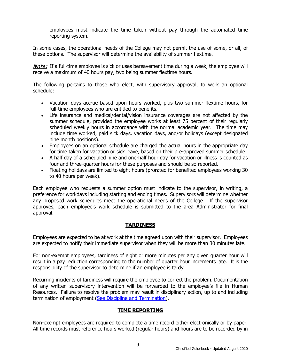employees must indicate the time taken without pay through the automated time reporting system.

In some cases, the operational needs of the College may not permit the use of some, or all, of these options. The supervisor will determine the availability of summer flextime.

**Note:** If a full-time employee is sick or uses bereavement time during a week, the employee will receive a maximum of 40 hours pay, two being summer flextime hours.

The following pertains to those who elect, with supervisory approval, to work an optional schedule:

- Vacation days accrue based upon hours worked, plus two summer flextime hours, for full-time employees who are entitled to benefits.
- Life insurance and medical/dental/vision insurance coverages are not affected by the summer schedule, provided the employee works at least 75 percent of their regularly scheduled weekly hours in accordance with the normal academic year. The time may include time worked, paid sick days, vacation days, and/or holidays (except designated nine month positions).
- Employees on an optional schedule are charged the actual hours in the appropriate day for time taken for vacation or sick leave, based on their pre-approved summer schedule.
- A half day of a scheduled nine and one-half hour day for vacation or illness is counted as four and three-quarter hours for these purposes and should be so reported.
- Floating holidays are limited to eight hours (prorated for benefited employees working 30 to 40 hours per week).

Each employee who requests a summer option must indicate to the supervisor, in writing, a preference for workdays including starting and ending times. Supervisors will determine whether any proposed work schedules meet the operational needs of the College. If the supervisor approves, each employee's work schedule is submitted to the area Administrator for final approval.

# **TARDINESS**

<span id="page-12-0"></span>Employees are expected to be at work at the time agreed upon with their supervisor. Employees are expected to notify their immediate supervisor when they will be more than 30 minutes late.

For non-exempt employees, tardiness of eight or more minutes per any given quarter hour will result in a pay reduction corresponding to the number of quarter hour increments late. It is the responsibility of the supervisor to determine if an employee is tardy.

Recurring incidents of tardiness will require the employee to correct the problem. Documentation of any written supervisory intervention will be forwarded to the employee's file in Human Resources. Failure to resolve the problem may result in disciplinary action, up to and including termination of employment [\(See Discipline and Termination\)](#page-27-1).

## **TIME REPORTING**

<span id="page-12-1"></span>Non-exempt employees are required to complete a time record either electronically or by paper. All time records must reference hours worked (regular hours) and hours are to be recorded by in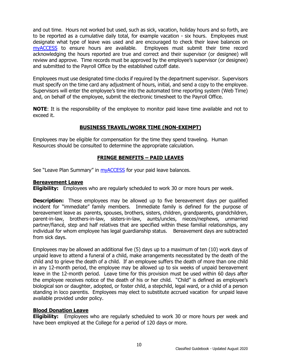and out time. Hours not worked but used, such as sick, vacation, holiday hours and so forth, are to be reported as a cumulative daily total, for example vacation - six hours. Employees must designate what type of leave was used and are encouraged to check their leave balances on myACCESS to ensure hours are available. Employees must submit their time record [myACCESS](http://myaccess.cod.edu/) to ensure hours are available. acknowledging the hours reported are true and correct and their supervisor (or designee) will review and approve. Time records must be approved by the employee's supervisor (or designee) and submitted to the Payroll Office by the established cutoff date.

Employees must use designated time clocks if required by the department supervisor. Supervisors must specify on the time card any adjustment of hours, initial, and send a copy to the employee. Supervisors will enter the employee's time into the automated time reporting system (Web Time) and, on behalf of the employee, submit the electronic timesheet to the Payroll Office.

**NOTE:** It is the responsibility of the employee to monitor paid leave time available and not to exceed it.

## **BUSINESS TRAVEL/WORK TIME (NON-EXEMPT)**

<span id="page-13-0"></span>Employees may be eligible for compensation for the time they spend traveling. Human Resources should be consulted to determine the appropriate calculation.

# **FRINGE BENEFITS – PAID LEAVES**

<span id="page-13-1"></span>See "Leave Plan Summary" in [myACCESS](http://myaccess.cod.edu/) for your paid leave balances.

## <span id="page-13-2"></span>**Bereavement Leave**

**Eligibility:** Employees who are regularly scheduled to work 30 or more hours per week.

**Description:** These employees may be allowed up to five bereavement days per qualified incident for "immediate" family members. Immediate family is defined for the purpose of bereavement leave as parents, spouses, brothers, sisters, children, grandparents, grandchildren, parent-in-law, brothers-in-law, sisters-in-law, aunts/uncles, nieces/nephews, unmarried partner/fiancé, step and half relatives that are specified within these familial relationships, any individual for whom employee has legal guardianship status. Bereavement days are subtracted from sick days.

Employees may be allowed an additional five (5) days up to a maximum of ten (10) work days of unpaid leave to attend a funeral of a child, make arrangements necessitated by the death of the child and to grieve the death of a child. If an employee suffers the death of more than one child in any 12-month period, the employee may be allowed up to six weeks of unpaid bereavement leave in the 12-month period. Leave time for this provision must be used within 60 days after the employee receives notice of the death of his or her child. "Child" is defined as employee's biological son or daughter, adopted, or foster child, a stepchild, legal ward, or a child of a person standing in loco parentis. Employees may elect to substitute accrued vacation for unpaid leave available provided under policy.

## <span id="page-13-3"></span>**Blood Donation Leave**

**Eligibility:** Employees who are regularly scheduled to work 30 or more hours per week and have been employed at the College for a period of 120 days or more.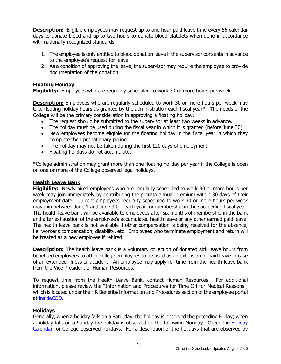**Description:** Eligible employees may request up to one hour paid leave time every 56 calendar days to donate blood and up to two hours to donate blood platelets when done in accordance with nationally recognized standards.

- 1. The employee is only entitled to blood donation leave if the supervisor consents in advance to the employee's request for leave.
- 2. As a condition of approving the leave, the supervisor may require the employee to provide documentation of the donation.

## <span id="page-14-0"></span>**Floating Holiday**

**Eligibility:** Employees who are regularly scheduled to work 30 or more hours per week.

**Description:** Employees who are regularly scheduled to work 30 or more hours per week may take floating holiday hours as granted by the administration each fiscal year\*. The needs of the College will be the primary consideration in approving a floating holiday.

- The request should be submitted to the supervisor at least two weeks in advance.
- The holiday must be used during the fiscal year in which it is granted (before June 30).
- New employees become eligible for the floating holiday in the fiscal year in which they complete their probationary period.
- The holiday may not be taken during the first 120 days of employment.
- Floating holidays do not accumulate.

\*College administration may grant more than one floating holiday per year if the College is open on one or more of the College observed legal holidays.

## <span id="page-14-1"></span>**Health Leave Bank**

**Eligibility:** Newly hired employees who are regularly scheduled to work 30 or more hours per week may join immediately by contributing the prorata annual premium within 30 days of their employment date. Current employees regularly scheduled to work 30 or more hours per week may join between June 1 and June 30 of each year for membership in the succeeding fiscal year. The health leave bank will be available to employees after six months of membership in the bank and after exhaustion of the employee's accumulated health leave or any other earned paid leave. The health leave bank is not available if other compensation is being received for the absence, i.e. worker's compensation, disability, etc. Employees who terminate employment and return will be treated as a new employee if rehired.

**Description:** The health leave bank is a voluntary collection of donated sick leave hours from benefited employees to other college employees to be used as an extension of paid leave in case of an extended illness or accident. An employee may apply for time from the health leave bank from the Vice President of Human Resources.

To request time from the Health Leave Bank, contact Human Resources. For additional information, please review the "Information and Procedures for Time Off for Medical Reasons", which is located under the HR Benefits/Information and Procedures section of the employee portal at [insideCOD.](http://inside.cod.edu/)

## <span id="page-14-2"></span>**Holidays**

Generally, when a holiday falls on a Saturday, the holiday is observed the preceding Friday; when a holiday falls on a Sunday the holiday is observed on the following Monday. Check the Holiday [Calendar](https://inside.cod.edu/employees/Pages/default.aspx) for College observed holidays. For a description of the holidays that are observed by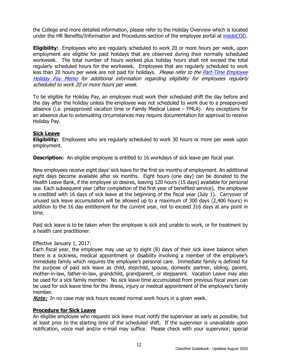the College and more detailed information, please refer to the Holiday Overview which is located under the HR Benefits/Information and Procedures section of the employee portal at [insideCOD.](http://inside.cod.edu/)

**Eligibility:** Employees who are regularly scheduled to work 20 or more hours per week, upon employment are eligible for paid holidays that are observed during their normally scheduled workweek. The total number of hours worked plus holiday hours shall not exceed the total regularly scheduled hours for the workweek. Employees that are regularly scheduled to work less than 20 hours per week are not paid for holidays. Please refer to the Part-Time Employee [Holiday Pay Memo](http://www.cod.edu/about/humanresources/pdf/holiday_pay_part_time_employees.pdf) for additional information regarding eligibility for employees regularly scheduled to work 20 or more hours per week.

To be eligible for Holiday Pay, an employee must work their scheduled shift the day before and the day after the holiday unless the employee was not scheduled to work due to a preapproved absence (i.e. preapproved vacation time or Family Medical Leave – FMLA). Any exceptions for an absence due to extenuating circumstances may require documentation for approval to receive Holiday Pay.

## <span id="page-15-0"></span>**Sick Leave**

**Eligibility:** Employees who are regularly scheduled to work 30 hours or more per week upon employment.

**Description:** An eligible employee is entitled to 16 workdays of sick leave per fiscal year.

New employees receive eight days' sick leave for the first six months of employment. An additional eight days become available after six months. Eight hours (one day) can be donated to the Health Leave Bank, if the employee so desires, leaving 120 hours (15 days) available for personal use. Each subsequent year (after completion of the first year of benefited service), the employee is credited with 16 days of sick leave at the beginning of the fiscal year (July 1). Carryover of unused sick leave accumulation will be allowed up to a maximum of 300 days (2,400 hours) in addition to the 16 day entitlement for the current year, not to exceed 316 days at any point in time.

Paid sick leave is to be taken when the employee is sick and unable to work, or for treatment by a health care practitioner.

## Effective January 1, 2017:

Each fiscal year, the employee may use up to eight (8) days of their sick leave balance when there is a sickness, medical appointment or disability involving a member of the employee's immediate family which requires the employee's personal care. Immediate family is defined for the purpose of paid sick leave as child, stepchild, spouse, domestic partner, sibling, parent, mother-in-law, father-in-law, grandchild, grandparent, or stepparent. Vacation Leave may also be used for a sick family member. No sick leave time accumulated from previous fiscal years can be used for sick leave time for the illness, injury or medical appointment of the employee's family member.

**Note:** In no case may sick hours exceed normal work hours in a given week.

## <span id="page-15-1"></span>**Procedure for Sick Leave**

An eligible employee who requests sick leave must notify the supervisor as early as possible, but at least prior to the starting time of the scheduled shift. If the supervisor is unavailable upon notification, voice mail and/or e-mail may suffice. Please check with your supervisor; special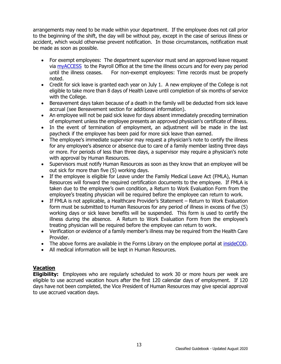arrangements may need to be made within your department. If the employee does not call prior to the beginning of the shift, the day will be without pay, except in the case of serious illness or accident, which would otherwise prevent notification. In those circumstances, notification must be made as soon as possible.

- For exempt employees: The department supervisor must send an approved leave request via [myACCESS](http://myaccess.cod.edu/) to the Payroll Office at the time the illness occurs and for every pay period until the illness ceases. For non-exempt employees: Time records must be properly noted.
- Credit for sick leave is granted each year on July 1. A new employee of the College is not eligible to take more than 8 days of Health Leave until completion of six months of service with the College.
- Bereavement days taken because of a death in the family will be deducted from sick leave accrual (see Bereavement section for additional information).
- An employee will not be paid sick leave for days absent immediately preceding termination of employment unless the employee presents an approved physician's certificate of illness.
- In the event of termination of employment, an adjustment will be made in the last paycheck if the employee has been paid for more sick leave than earned.
- The employee's immediate supervisor may request a physician's note to certify the illness for any employee's absence or absence due to care of a family member lasting three days or more. For periods of less than three days, a supervisor may require a physician's note with approval by Human Resources.
- Supervisors must notify Human Resources as soon as they know that an employee will be out sick for more than five (5) working days.
- If the employee is eligible for Leave under the Family Medical Leave Act (FMLA), Human Resources will forward the required certification documents to the employee. If FMLA is taken due to the employee's own condition, a Return to Work Evaluation Form from the employee's treating physician will be required before the employee can return to work.
- If FMLA is not applicable, a Healthcare Provider's Statement Return to Work Evaluation form must be submitted to Human Resources for any period of illness in excess of five (5) working days or sick leave benefits will be suspended. This form is used to certify the illness during the absence. A Return to Work Evaluation Form from the employee's treating physician will be required before the employee can return to work.
- Verification or evidence of a family member's illness may be required from the Health Care Provider.
- The above forms are available in the Forms Library on the employee portal at [insideCOD.](https://inside.cod.edu/employees)
- All medical information will be kept in Human Resources.

# <span id="page-16-0"></span>**Vacation**

**Eligibility:** Employees who are regularly scheduled to work 30 or more hours per week are eligible to use accrued vacation hours after the first 120 calendar days of employment. If 120 days have not been completed, the Vice President of Human Resources may give special approval to use accrued vacation days.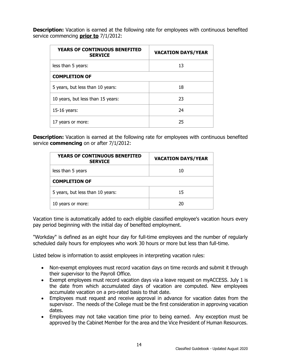**Description:** Vacation is earned at the following rate for employees with continuous benefited service commencing **prior to** 7/1/2012:

| <b>YEARS OF CONTINUOUS BENEFITED</b><br><b>SERVICE</b> | <b>VACATION DAYS/YEAR</b> |  |
|--------------------------------------------------------|---------------------------|--|
| less than 5 years:                                     | 13                        |  |
| <b>COMPLETION OF</b>                                   |                           |  |
| 5 years, but less than 10 years:                       | 18                        |  |
| 10 years, but less than 15 years:                      | 23                        |  |
| 15-16 years:                                           | 24                        |  |
| years or more:                                         | 25                        |  |

**Description:** Vacation is earned at the following rate for employees with continuous benefited service **commencing** on or after 7/1/2012:

| <b>YEARS OF CONTINUOUS BENEFITED</b><br><b>SERVICE</b> | <b>VACATION DAYS/YEAR</b> |  |
|--------------------------------------------------------|---------------------------|--|
| less than 5 years                                      | 10                        |  |
| <b>COMPLETION OF</b>                                   |                           |  |
| 5 years, but less than 10 years:                       | 15                        |  |
| 10 years or more:                                      | 20                        |  |

Vacation time is automatically added to each eligible classified employee's vacation hours every pay period beginning with the initial day of benefited employment.

"Workday" is defined as an eight hour day for full-time employees and the number of regularly scheduled daily hours for employees who work 30 hours or more but less than full-time.

Listed below is information to assist employees in interpreting vacation rules:

- Non-exempt employees must record vacation days on time records and submit it through their supervisor to the Payroll Office.
- Exempt employees must record vacation days via a leave request on myACCESS. July 1 is the date from which accumulated days of vacation are computed. New employees accumulate vacation on a pro-rated basis to that date.
- Employees must request and receive approval in advance for vacation dates from the supervisor. The needs of the College must be the first consideration in approving vacation dates.
- Employees may not take vacation time prior to being earned. Any exception must be approved by the Cabinet Member for the area and the Vice President of Human Resources.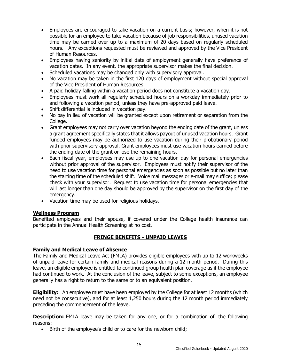- Employees are encouraged to take vacation on a current basis; however, when it is not possible for an employee to take vacation because of job responsibilities, unused vacation time may be carried over up to a maximum of 20 days based on regularly scheduled hours. Any exceptions requested must be reviewed and approved by the Vice President of Human Resources.
- Employees having seniority by initial date of employment generally have preference of vacation dates. In any event, the appropriate supervisor makes the final decision.
- Scheduled vacations may be changed only with supervisory approval.
- No vacation may be taken in the first 120 days of employment without special approval of the Vice President of Human Resources.
- A paid holiday falling within a vacation period does not constitute a vacation day.
- Employees must work all regularly scheduled hours on a workday immediately prior to and following a vacation period, unless they have pre-approved paid leave.
- Shift differential is included in vacation pay.
- No pay in lieu of vacation will be granted except upon retirement or separation from the College.
- Grant employees may not carry over vacation beyond the ending date of the grant, unless a grant agreement specifically states that it allows payout of unused vacation hours. Grant funded employees may be authorized to use vacation during their probationary period with prior supervisory approval. Grant employees must use vacation hours earned before the ending date of the grant or lose the remaining hours.
- Each fiscal year, employees may use up to one vacation day for personal emergencies without prior approval of the supervisor. Employees must notify their supervisor of the need to use vacation time for personal emergencies as soon as possible but no later than the starting time of the scheduled shift. Voice mail messages or e-mail may suffice; please check with your supervisor. Request to use vacation time for personal emergencies that will last longer than one day should be approved by the supervisor on the first day of the emergency.
- Vacation time may be used for religious holidays.

## <span id="page-18-0"></span>**Wellness Program**

Benefited employees and their spouse, if covered under the College health insurance can participate in the Annual Health Screening at no cost.

# **FRINGE BENEFITS - UNPAID LEAVES**

## <span id="page-18-2"></span><span id="page-18-1"></span>**Family and Medical Leave of Absence**

The Family and Medical Leave Act (FMLA) provides eligible employees with up to 12 workweeks of unpaid leave for certain family and medical reasons during a 12 month period. During this leave, an eligible employee is entitled to continued group health plan coverage as if the employee had continued to work. At the conclusion of the leave, subject to some exceptions, an employee generally has a right to return to the same or to an equivalent position.

**Eligibility:** An employee must have been employed by the College for at least 12 months (which need not be consecutive), and for at least 1,250 hours during the 12 month period immediately preceding the commencement of the leave.

**Description:** FMLA leave may be taken for any one, or for a combination of, the following reasons:

• Birth of the employee's child or to care for the newborn child;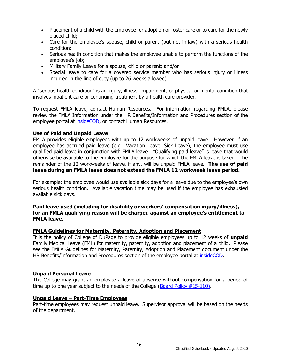- Placement of a child with the employee for adoption or foster care or to care for the newly placed child;
- Care for the employee's spouse, child or parent (but not in-law) with a serious health condition;
- Serious health condition that makes the employee unable to perform the functions of the employee's job;
- Military Family Leave for a spouse, child or parent; and/or
- Special leave to care for a covered service member who has serious injury or illness incurred in the line of duty (up to 26 weeks allowed).

A "serious health condition" is an injury, illness, impairment, or physical or mental condition that involves inpatient care or continuing treatment by a health care provider.

To request FMLA leave, contact Human Resources. For information regarding FMLA, please review the FMLA Information under the HR Benefits/Information and Procedures section of the employee portal at [insideCOD,](http://inside.cod.edu/) or contact Human Resources.

## <span id="page-19-0"></span>**Use of Paid and Unpaid Leave**

FMLA provides eligible employees with up to 12 workweeks of unpaid leave. However, if an employee has accrued paid leave (e.g., Vacation Leave, Sick Leave), the employee must use qualified paid leave in conjunction with FMLA leave. "Qualifying paid leave" is leave that would otherwise be available to the employee for the purpose for which the FMLA leave is taken. The remainder of the 12 workweeks of leave, if any, will be unpaid FMLA leave. **The use of paid leave during an FMLA leave does not extend the FMLA 12 workweek leave period.**

For example: the employee would use available sick days for a leave due to the employee's own serious health condition. Available vacation time may be used if the employee has exhausted available sick days.

## **Paid leave used (including for disability or workers' compensation injury/illness), for an FMLA qualifying reason will be charged against an employee's entitlement to FMLA leave.**

## <span id="page-19-1"></span>**FMLA Guidelines for Maternity, Paternity, Adoption and Placement**

It is the policy of College of DuPage to provide eligible employees up to 12 weeks of **unpaid** Family Medical Leave (FML) for maternity, paternity, adoption and placement of a child. Please see the FMLA Guidelines for Maternity, Paternity, Adoption and Placement document under the HR Benefits/Information and Procedures section of the employee portal at *insideCOD*.

#### <span id="page-19-2"></span>**Unpaid Personal Leave**

The College may grant an employee a leave of absence without compensation for a period of time up to one year subject to the needs of the College [\(Board Policy #15-110\)](http://www.cod.edu/about/board_of_trustees/pdf/board_policies.pdf).

#### <span id="page-19-3"></span>**Unpaid Leave – Part-Time Employees**

Part-time employees may request unpaid leave. Supervisor approval will be based on the needs of the department.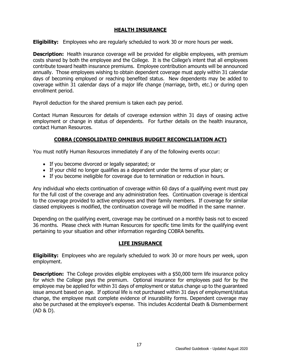## **HEALTH INSURANCE**

<span id="page-20-0"></span>**Eligibility:** Employees who are regularly scheduled to work 30 or more hours per week.

**Description:** Health insurance coverage will be provided for eligible employees, with premium costs shared by both the employee and the College. It is the College's intent that all employees contribute toward health insurance premiums. Employee contribution amounts will be announced annually. Those employees wishing to obtain dependent coverage must apply within 31 calendar days of becoming employed or reaching benefited status. New dependents may be added to coverage within 31 calendar days of a major life change (marriage, birth, etc.) or during open enrollment period.

Payroll deduction for the shared premium is taken each pay period.

Contact Human Resources for details of coverage extension within 31 days of ceasing active employment or change in status of dependents. For further details on the health insurance, contact Human Resources.

## **COBRA (CONSOLIDATED OMNIBUS BUDGET RECONCILIATION ACT)**

<span id="page-20-1"></span>You must notify Human Resources immediately if any of the following events occur:

- If you become divorced or legally separated; or
- If your child no longer qualifies as a dependent under the terms of your plan; or
- If you become ineligible for coverage due to termination or reduction in hours.

Any individual who elects continuation of coverage within 60 days of a qualifying event must pay for the full cost of the coverage and any administration fees. Continuation coverage is identical to the coverage provided to active employees and their family members. If coverage for similar classed employees is modified, the continuation coverage will be modified in the same manner.

Depending on the qualifying event, coverage may be continued on a monthly basis not to exceed 36 months. Please check with Human Resources for specific time limits for the qualifying event pertaining to your situation and other information regarding COBRA benefits.

## **LIFE INSURANCE**

<span id="page-20-2"></span>**Eligibility:** Employees who are regularly scheduled to work 30 or more hours per week, upon employment.

**Description:** The College provides eligible employees with a \$50,000 term life insurance policy for which the College pays the premium. Optional insurance for employees paid for by the employee may be applied for within 31 days of employment or status change up to the guaranteed issue amount based on age. If optional life is not purchased within 31 days of employment/status change, the employee must complete evidence of insurability forms. Dependent coverage may also be purchased at the employee's expense. This includes Accidental Death & Dismemberment (AD & D).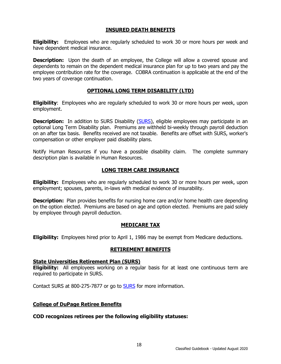## **INSURED DEATH BENEFITS**

<span id="page-21-0"></span>**Eligibility:** Employees who are regularly scheduled to work 30 or more hours per week and have dependent medical insurance.

**Description:** Upon the death of an employee, the College will allow a covered spouse and dependents to remain on the dependent medical insurance plan for up to two years and pay the employee contribution rate for the coverage. COBRA continuation is applicable at the end of the two years of coverage continuation.

## **OPTIONAL LONG TERM DISABILITY (LTD)**

<span id="page-21-1"></span>**Eligibility**: Employees who are regularly scheduled to work 30 or more hours per week, upon employment.

**Description:** In addition to SURS Disability [\(SURS\)](http://www.surs.org/), eligible employees may participate in an optional Long Term Disability plan. Premiums are withheld bi-weekly through payroll deduction on an after tax basis. Benefits received are not taxable. Benefits are offset with SURS, worker's compensation or other employer paid disability plans.

Notify Human Resources if you have a possible disability claim. The complete summary description plan is available in Human Resources.

## **LONG TERM CARE INSURANCE**

<span id="page-21-2"></span>**Eligibility:** Employees who are regularly scheduled to work 30 or more hours per week, upon employment; spouses, parents, in-laws with medical evidence of insurability.

**Description:** Plan provides benefits for nursing home care and/or home health care depending on the option elected. Premiums are based on age and option elected. Premiums are paid solely by employee through payroll deduction.

## **MEDICARE TAX**

<span id="page-21-4"></span><span id="page-21-3"></span>**Eligibility:** Employees hired prior to April 1, 1986 may be exempt from Medicare deductions.

## **RETIREMENT BENEFITS**

## <span id="page-21-5"></span>**State Universities Retirement Plan (SURS)**

**Eligibility:** All employees working on a regular basis for at least one continuous term are required to participate in SURS.

Contact SURS at 800-275-7877 or go to [SURS](http://www.surs.org/) for more information.

## <span id="page-21-6"></span>**College of DuPage Retiree Benefits**

## **COD recognizes retirees per the following eligibility statuses:**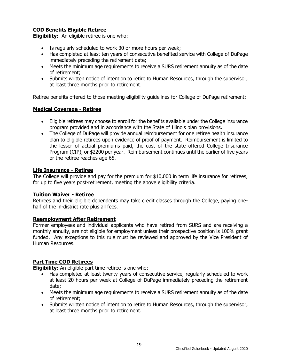# <span id="page-22-0"></span>**COD Benefits Eligible Retiree**

**Eligibility:** An eligible retiree is one who:

- Is regularly scheduled to work 30 or more hours per week;
- Has completed at least ten years of consecutive benefited service with College of DuPage immediately preceding the retirement date;
- Meets the minimum age requirements to receive a SURS retirement annuity as of the date of retirement;
- Submits written notice of intention to retire to Human Resources, through the supervisor, at least three months prior to retirement.

Retiree benefits offered to those meeting eligibility guidelines for College of DuPage retirement:

## <span id="page-22-1"></span>**Medical Coverage - Retiree**

- Eligible retirees may choose to enroll for the benefits available under the College insurance program provided and in accordance with the State of Illinois plan provisions.
- The College of DuPage will provide annual reimbursement for one retiree health insurance plan to eligible retirees upon evidence of proof of payment. Reimbursement is limited to the lesser of actual premiums paid, the cost of the state offered College Insurance Program (CIP), or \$2200 per year. Reimbursement continues until the earlier of five years or the retiree reaches age 65.

## <span id="page-22-2"></span>**Life Insurance - Retiree**

The College will provide and pay for the premium for \$10,000 in term life insurance for retirees, for up to five years post-retirement, meeting the above eligibility criteria.

## <span id="page-22-3"></span>**Tuition Waiver - Retiree**

Retirees and their eligible dependents may take credit classes through the College, paying onehalf of the in-district rate plus all fees.

## <span id="page-22-4"></span>**Reemployment After Retirement**

Former employees and individual applicants who have retired from SURS and are receiving a monthly annuity, are not eligible for employment unless their prospective position is 100% grant funded. Any exceptions to this rule must be reviewed and approved by the Vice President of Human Resources.

## <span id="page-22-5"></span>**Part Time COD Retirees**

**Eligibility:** An eligible part time retiree is one who:

- Has completed at least twenty years of consecutive service, regularly scheduled to work at least 20 hours per week at College of DuPage immediately preceding the retirement date;
- Meets the minimum age requirements to receive a SURS retirement annuity as of the date of retirement;
- Submits written notice of intention to retire to Human Resources, through the supervisor, at least three months prior to retirement.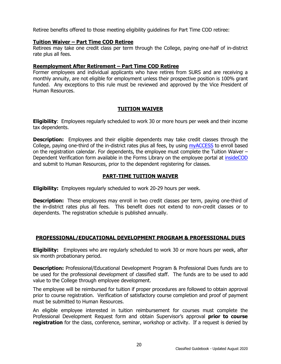Retiree benefits offered to those meeting eligibility guidelines for Part Time COD retiree:

## <span id="page-23-0"></span>**Tuition Waiver – Part Time COD Retiree**

Retirees may take one credit class per term through the College, paying one-half of in-district rate plus all fees.

## <span id="page-23-1"></span>**Reemployment After Retirement – Part Time COD Retiree**

Former employees and individual applicants who have retires from SURS and are receiving a monthly annuity, are not eligible for employment unless their prospective position is 100% grant funded. Any exceptions to this rule must be reviewed and approved by the Vice President of Human Resources.

## **TUITION WAIVER**

<span id="page-23-2"></span>**Eligibility**: Employees regularly scheduled to work 30 or more hours per week and their income tax dependents.

**Description:** Employees and their eligible dependents may take credit classes through the College, paying one-third of the in-district rates plus all fees, by using [myACCESS](http://myaccess.cod.edu/) to enroll based on the registration calendar. For dependents, the employee must complete the Tuition Waiver – Dependent Verification form available in the Forms Library on the employee portal at [insideCOD](http://inside.cod.edu/) and submit to Human Resources, prior to the dependent registering for classes.

## **PART-TIME TUITION WAIVER**

<span id="page-23-3"></span>**Eligibility:** Employees regularly scheduled to work 20-29 hours per week.

**Description:** These employees may enroll in two credit classes per term, paying one-third of the in-district rates plus all fees. This benefit does not extend to non-credit classes or to dependents. The registration schedule is published annually.

## <span id="page-23-4"></span>**PROFESSIONAL/EDUCATIONAL DEVELOPMENT PROGRAM & PROFESSIONAL DUES**

**Eligibility:** Employees who are regularly scheduled to work 30 or more hours per week, after six month probationary period.

**Description:** Professional/Educational Development Program & Professional Dues funds are to be used for the professional development of classified staff. The funds are to be used to add value to the College through employee development.

The employee will be reimbursed for tuition if proper procedures are followed to obtain approval prior to course registration. Verification of satisfactory course completion and proof of payment must be submitted to Human Resources.

An eligible employee interested in tuition reimbursement for courses must complete the Professional Development Request form and obtain Supervisor's approval **prior to course registration** for the class, conference, seminar, workshop or activity. If a request is denied by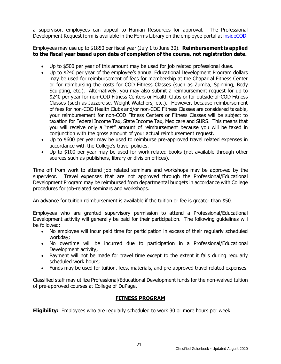a supervisor, employees can appeal to Human Resources for approval. The Professional Development Request form is available in the Forms Library on the employee portal at [insideCOD.](http://inside.cod.edu/)

Employees may use up to \$1850 per fiscal year (July 1 to June 30). **Reimbursement is applied to the fiscal year based upon date of completion of the course, not registration date.**

- Up to \$500 per year of this amount may be used for job related professional dues.
- Up to \$240 per year of the employee's annual Educational Development Program dollars may be used for reimbursement of fees for membership at the Chaparral Fitness Center or for reimbursing the costs for COD Fitness Classes (such as Zumba, Spinning, Body Sculpting, etc.). Alternatively, you may also submit a reimbursement request for up to \$240 per year for non-COD Fitness Centers or Health Clubs or for outside-of-COD Fitness Classes (such as Jazzercise, Weight Watchers, etc.). However, because reimbursement of fees for non-COD Health Clubs and/or non-COD Fitness Classes are considered taxable, your reimbursement for non-COD Fitness Centers or Fitness Classes will be subject to taxation for Federal Income Tax, State Income Tax, Medicare and SURS. This means that you will receive only a "net" amount of reimbursement because you will be taxed in conjunction with the gross amount of your actual reimbursement request.
- Up to \$600 per year may be used to reimburse pre-approved travel related expenses in accordance with the College's travel policies.
- Up to \$100 per year may be used for work-related books (not available through other sources such as publishers, library or division offices).

Time off from work to attend job related seminars and workshops may be approved by the supervisor. Travel expenses that are not approved through the Professional/Educational Development Program may be reimbursed from departmental budgets in accordance with College procedures for job-related seminars and workshops.

An advance for tuition reimbursement is available if the tuition or fee is greater than \$50.

Employees who are granted supervisory permission to attend a Professional/Educational Development activity will generally be paid for their participation. The following guidelines will be followed:

- No employee will incur paid time for participation in excess of their regularly scheduled workday;
- No overtime will be incurred due to participation in a Professional/Educational Development activity;
- Payment will not be made for travel time except to the extent it falls during regularly scheduled work hours;
- Funds may be used for tuition, fees, materials, and pre-approved travel related expenses.

Classified staff may utilize Professional/Educational Development funds for the non-waived tuition of pre-approved courses at College of DuPage.

# **FITNESS PROGRAM**

<span id="page-24-0"></span>**Eligibility:** Employees who are regularly scheduled to work 30 or more hours per week.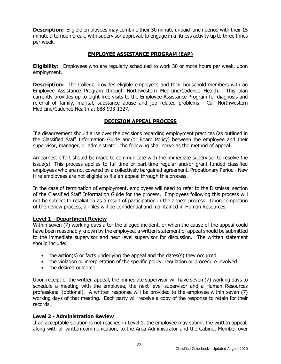**Description:** Eligible employees may combine their 30 minute unpaid lunch period with their 15 minute afternoon break, with supervisor approval, to engage in a fitness activity up to three times per week.

# **EMPLOYEE ASSISTANCE PROGRAM (EAP)**

<span id="page-25-0"></span>**Eligibility:** Employees who are regularly scheduled to work 30 or more hours per week, upon employment.

**Description:** The College provides eligible employees and their household members with an Employee Assistance Program through Northwestern Medicine/Cadence Health. This plan currently provides up to eight free visits to the Employee Assistance Program for diagnosis and referral of family, marital, substance abuse and job related problems. Call Northwestern Medicine/Cadence Health at 888-933-1327.

## **DECISION APPEAL PROCESS**

<span id="page-25-1"></span>If a disagreement should arise over the decisions regarding employment practices (as outlined in the Classified Staff Information Guide and/or Board Policy) between the employee and their supervisor, manager, or administrator, the following shall serve as the method of appeal.

An earnest effort should be made to communicate with the immediate supervisor to resolve the issue(s). This process applies to full-time or part-time regular and/or grant funded classified employees who are not covered by a collectively bargained agreement. Probationary Period - New Hire employees are not eligible to file an appeal through this process.

In the case of termination of employment, employees will need to refer to the Dismissal section of the Classified Staff Information Guide for the process. Employees following this process will not be subject to retaliation as a result of participation in the appeal process. Upon completion of the review process, all files will be confidential and maintained in Human Resources.

## <span id="page-25-2"></span>**Level 1 - Department Review**

Within seven (7) working days after the alleged incident, or when the cause of the appeal could have been reasonably known by the employee, a written statement of appeal should be submitted to the immediate supervisor and next level supervisor for discussion. The written statement should include:

- the action(s) or facts underlying the appeal and the dates(s) they occurred
- the violation or interpretation of the specific policy, regulation or procedure involved
- the desired outcome

Upon receipt of the written appeal, the immediate supervisor will have seven (7) working days to schedule a meeting with the employee, the next level supervisor and a Human Resources professional (optional). A written response will be provided to the employee within seven (7) working days of that meeting. Each party will receive a copy of the response to retain for their records.

## <span id="page-25-3"></span>**Level 2 - Administration Review**

If an acceptable solution is not reached in Level 1, the employee may submit the written appeal, along with all written communication, to the Area Administrator and the Cabinet Member over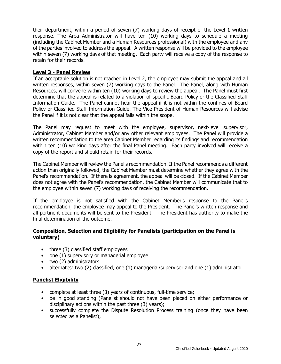their department, within a period of seven (7) working days of receipt of the Level 1 written response. The Area Administrator will have ten (10) working days to schedule a meeting (including the Cabinet Member and a Human Resources professional) with the employee and any of the parties involved to address the appeal. A written response will be provided to the employee within seven (7) working days of that meeting. Each party will receive a copy of the response to retain for their records.

## <span id="page-26-0"></span>**Level 3 - Panel Review**

If an acceptable solution is not reached in Level 2, the employee may submit the appeal and all written responses, within seven (7) working days to the Panel. The Panel, along with Human Resources, will convene within ten (10) working days to review the appeal. The Panel must first determine that the appeal is related to a violation of specific Board Policy or the Classified Staff Information Guide. The Panel cannot hear the appeal if it is not within the confines of Board Policy or Classified Staff Information Guide. The Vice President of Human Resources will advise the Panel if it is not clear that the appeal falls within the scope.

The Panel may request to meet with the employee, supervisor, next-level supervisor, Administrator, Cabinet Member and/or any other relevant employees. The Panel will provide a written recommendation to the area Cabinet Member regarding its findings and recommendation within ten (10) working days after the final Panel meeting. Each party involved will receive a copy of the report and should retain for their records.

The Cabinet Member will review the Panel's recommendation. If the Panel recommends a different action than originally followed, the Cabinet Member must determine whether they agree with the Panel's recommendation. If there is agreement, the appeal will be closed. If the Cabinet Member does not agree with the Panel's recommendation, the Cabinet Member will communicate that to the employee within seven (7) working days of receiving the recommendation.

If the employee is not satisfied with the Cabinet Member's response to the Panel's recommendation, the employee may appeal to the President. The Panel's written response and all pertinent documents will be sent to the President. The President has authority to make the final determination of the outcome.

## **Composition, Selection and Eligibility for Panelists (participation on the Panel is voluntary)**

- three (3) classified staff employees
- one (1) supervisory or managerial employee
- two (2) administrators
- alternates: two (2) classified, one (1) managerial/supervisor and one (1) administrator

## <span id="page-26-1"></span>**Panelist Eligibility**

- complete at least three (3) years of continuous, full-time service;
- be in good standing (Panelist should not have been placed on either performance or disciplinary actions within the past three (3) years);
- successfully complete the Dispute Resolution Process training (once they have been selected as a Panelist);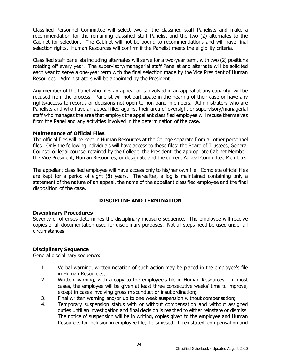Classified Personnel Committee will select two of the classified staff Panelists and make a recommendation for the remaining classified staff Panelist and the two (2) alternates to the Cabinet for selection. The Cabinet will not be bound to recommendations and will have final selection rights. Human Resources will confirm if the Panelist meets the eligibility criteria.

Classified staff panelists including alternates will serve for a two-year term, with two (2) positions rotating off every year. The supervisory/managerial staff Panelist and alternate will be solicited each year to serve a one-year term with the final selection made by the Vice President of Human Resources. Administrators will be appointed by the President.

Any member of the Panel who files an appeal or is involved in an appeal at any capacity, will be recused from the process. Panelist will not participate in the hearing of their case or have any rights/access to records or decisions not open to non-panel members. Administrators who are Panelists and who have an appeal filed against their area of oversight or supervisory/managerial staff who manages the area that employs the appellant classified employee will recuse themselves from the Panel and any activities involved in the determination of the case.

## <span id="page-27-0"></span>**Maintenance of Official Files**

The official files will be kept in Human Resources at the College separate from all other personnel files. Only the following individuals will have access to these files: the Board of Trustees, General Counsel or legal counsel retained by the College, the President, the appropriate Cabinet Member, the Vice President, Human Resources, or designate and the current Appeal Committee Members.

The appellant classified employee will have access only to his/her own file. Complete official files are kept for a period of eight (8) years. Thereafter, a log is maintained containing only a statement of the nature of an appeal, the name of the appellant classified employee and the final disposition of the case.

## **DISCIPLINE AND TERMINATION**

## <span id="page-27-2"></span><span id="page-27-1"></span>**Disciplinary Procedures**

Severity of offenses determines the disciplinary measure sequence. The employee will receive copies of all documentation used for disciplinary purposes. Not all steps need be used under all circumstances.

## <span id="page-27-3"></span>**Disciplinary Sequence**

General disciplinary sequence:

- 1. Verbal warning, written notation of such action may be placed in the employee's file in Human Resources;
- 2. Written warning, with a copy to the employee's file in Human Resources. In most cases, the employee will be given at least three consecutive weeks' time to improve, except in cases involving gross misconduct or insubordination;
- 3. Final written warning and/or up to one week suspension without compensation;<br>4. Temporary suspension status with or without compensation and without assi
- Temporary suspension status with or without compensation and without assigned duties until an investigation and final decision is reached to either reinstate or dismiss. The notice of suspension will be in writing, copies given to the employee and Human Resources for inclusion in employee file, if dismissed. If reinstated, compensation and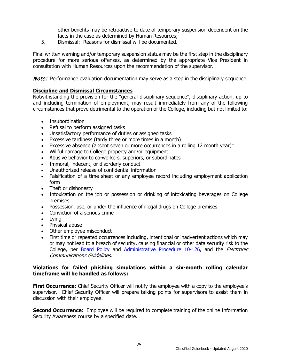other benefits may be retroactive to date of temporary suspension dependent on the facts in the case as determined by Human Resources;

5. Dismissal: Reasons for dismissal will be documented.

Final written warning and/or temporary suspension status may be the first step in the disciplinary procedure for more serious offenses, as determined by the appropriate Vice President in consultation with Human Resources upon the recommendation of the supervisor.

**Note:** Performance evaluation documentation may serve as a step in the disciplinary sequence.

## <span id="page-28-0"></span>**Discipline and Dismissal Circumstances**

Notwithstanding the provision for the "general disciplinary sequence", disciplinary action, up to and including termination of employment, may result immediately from any of the following circumstances that prove detrimental to the operation of the College, including but not limited to:

- Insubordination
- Refusal to perform assigned tasks
- Unsatisfactory performance of duties or assigned tasks
- Excessive tardiness (tardy three or more times in a month)
- Excessive absence (absent seven or more occurrences in a rolling 12 month year) $*$
- Willful damage to College property and/or equipment
- Abusive behavior to co-workers, superiors, or subordinates
- Immoral, indecent, or disorderly conduct
- Unauthorized release of confidential information
- Falsification of a time sheet or any employee record including employment application form
- Theft or dishonesty
- Intoxication on the job or possession or drinking of intoxicating beverages on College premises
- Possession, use, or under the influence of illegal drugs on College premises
- Conviction of a serious crime
- Lying
- Physical abuse
- Other employee misconduct
- First time or repeated occurrences including, intentional or inadvertent actions which may or may not lead to a breach of security, causing financial or other data security risk to the College, per [Board Policy](http://www.cod.edu/about/board_of_trustees/pdf/board_policies.pdf) and [Administrative Procedure](https://inside.cod.edu/employees/Documents/AdministrativeProceduresManual.pdf) [10-126,](http://www.cod.edu/about/board_of_trustees/pdf/board_policies.pdf) and the *Electronic* Communications Guidelines.

## **Violations for failed phishing simulations within a six-month rolling calendar timeframe will be handled as follows:**

**First Occurrence:** Chief Security Officer will notify the employee with a copy to the employee's supervisor. Chief Security Officer will prepare talking points for supervisors to assist them in discussion with their employee.

**Second Occurrence:** Employee will be required to complete training of the online Information Security Awareness course by a specified date.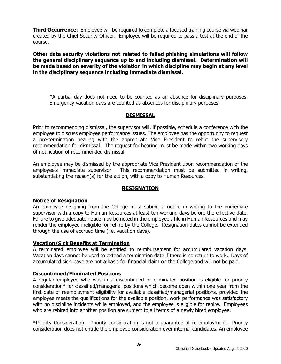**Third Occurrence:** Employee will be required to complete a focused training course via webinar created by the Chief Security Officer. Employee will be required to pass a test at the end of the course.

**Other data security violations not related to failed phishing simulations will follow the general disciplinary sequence up to and including dismissal. Determination will be made based on severity of the violation in which discipline may begin at any level in the disciplinary sequence including immediate dismissal.**

\*A partial day does not need to be counted as an absence for disciplinary purposes. Emergency vacation days are counted as absences for disciplinary purposes.

## **DISMISSAL**

<span id="page-29-0"></span>Prior to recommending dismissal, the supervisor will, if possible, schedule a conference with the employee to discuss employee performance issues. The employee has the opportunity to request a pre-termination hearing with the appropriate Vice President to rebut the supervisory recommendation for dismissal. The request for hearing must be made within two working days of notification of recommended dismissal.

An employee may be dismissed by the appropriate Vice President upon recommendation of the employee's immediate supervisor. This recommendation must be submitted in writing, substantiating the reason(s) for the action, with a copy to Human Resources.

## **RESIGNATION**

## <span id="page-29-2"></span><span id="page-29-1"></span>**Notice of Resignation**

An employee resigning from the College must submit a notice in writing to the immediate supervisor with a copy to Human Resources at least ten working days before the effective date. Failure to give adequate notice may be noted in the employee's file in Human Resources and may render the employee ineligible for rehire by the College. Resignation dates cannot be extended through the use of accrued time (i.e. vacation days).

## <span id="page-29-3"></span>**Vacation/Sick Benefits at Termination**

A terminated employee will be entitled to reimbursement for accumulated vacation days. Vacation days cannot be used to extend a termination date if there is no return to work. Days of accumulated sick leave are not a basis for financial claim on the College and will not be paid.

## <span id="page-29-4"></span>**Discontinued/Eliminated Positions**

A regular employee who was in a discontinued or eliminated position is eligible for priority consideration\* for classified/managerial positions which become open within one year from the first date of reemployment eligibility for available classified/managerial positions, provided the employee meets the qualifications for the available position, work performance was satisfactory with no discipline incidents while employed, and the employee is eligible for rehire. Employees who are rehired into another position are subject to all terms of a newly hired employee.

\*Priority Consideration: Priority consideration is not a guarantee of re-employment. Priority consideration does not entitle the employee consideration over internal candidates. An employee